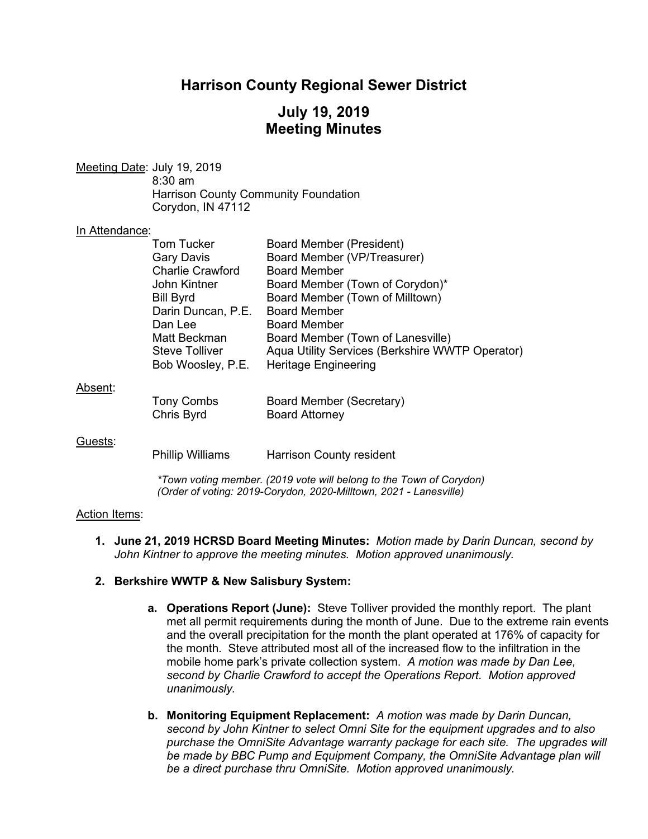## **Harrison County Regional Sewer District**

# **July 19, 2019 Meeting Minutes**

Meeting Date: July 19, 2019 8:30 am Harrison County Community Foundation Corydon, IN 47112

#### In Attendance:

| <b>Tom Tucker</b>               | <b>Board Member (President)</b>                   |
|---------------------------------|---------------------------------------------------|
| <b>Gary Davis</b>               | Board Member (VP/Treasurer)                       |
| <b>Charlie Crawford</b>         | <b>Board Member</b>                               |
| John Kintner                    | Board Member (Town of Corydon)*                   |
| <b>Bill Byrd</b>                | Board Member (Town of Milltown)                   |
| Darin Duncan, P.E.              | <b>Board Member</b>                               |
| Dan Lee                         | <b>Board Member</b>                               |
| Matt Beckman                    | Board Member (Town of Lanesville)                 |
| <b>Steve Tolliver</b>           | Aqua Utility Services (Berkshire WWTP Operator)   |
| Bob Woosley, P.E.               | <b>Heritage Engineering</b>                       |
|                                 |                                                   |
| <b>Tony Combs</b><br>Chris Byrd | Board Member (Secretary)<br><b>Board Attorney</b> |
|                                 |                                                   |

#### Guests:

Phillip Williams Harrison County resident

*\*Town voting member. (2019 vote will belong to the Town of Corydon) (Order of voting: 2019-Corydon, 2020-Milltown, 2021 - Lanesville)*

#### Action Items:

**1. June 21, 2019 HCRSD Board Meeting Minutes:** *Motion made by Darin Duncan, second by John Kintner to approve the meeting minutes. Motion approved unanimously.*

#### **2. Berkshire WWTP & New Salisbury System:**

- **a. Operations Report (June):** Steve Tolliver provided the monthly report. The plant met all permit requirements during the month of June. Due to the extreme rain events and the overall precipitation for the month the plant operated at 176% of capacity for the month. Steve attributed most all of the increased flow to the infiltration in the mobile home park's private collection system. *A motion was made by Dan Lee, second by Charlie Crawford to accept the Operations Report. Motion approved unanimously.*
- **b. Monitoring Equipment Replacement:** *A motion was made by Darin Duncan, second by John Kintner to select Omni Site for the equipment upgrades and to also purchase the OmniSite Advantage warranty package for each site. The upgrades will be made by BBC Pump and Equipment Company, the OmniSite Advantage plan will be a direct purchase thru OmniSite. Motion approved unanimously.*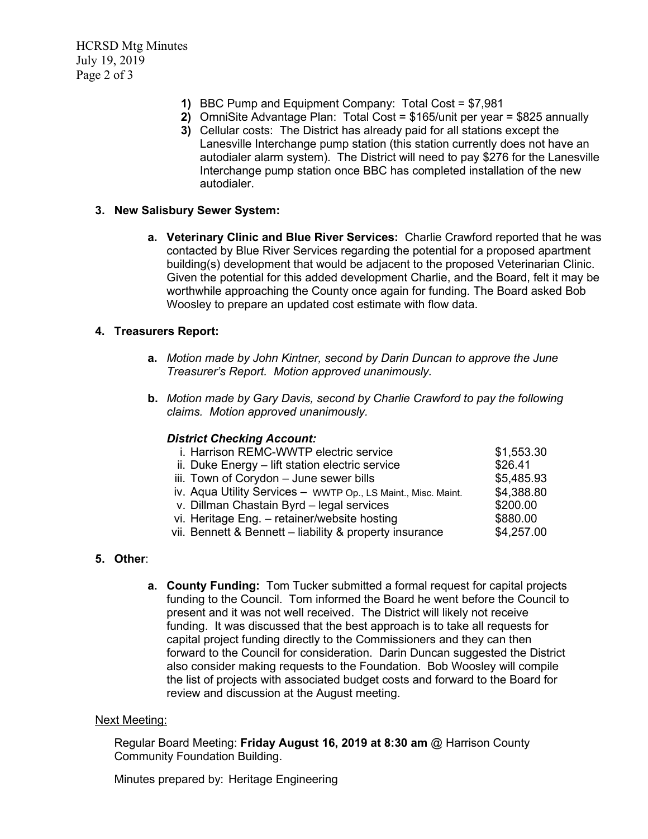HCRSD Mtg Minutes July 19, 2019 Page 2 of 3

- **1)** BBC Pump and Equipment Company: Total Cost = \$7,981
- **2)** OmniSite Advantage Plan: Total Cost = \$165/unit per year = \$825 annually
- **3)** Cellular costs: The District has already paid for all stations except the Lanesville Interchange pump station (this station currently does not have an autodialer alarm system). The District will need to pay \$276 for the Lanesville Interchange pump station once BBC has completed installation of the new autodialer.

#### **3. New Salisbury Sewer System:**

**a. Veterinary Clinic and Blue River Services:** Charlie Crawford reported that he was contacted by Blue River Services regarding the potential for a proposed apartment building(s) development that would be adjacent to the proposed Veterinarian Clinic. Given the potential for this added development Charlie, and the Board, felt it may be worthwhile approaching the County once again for funding. The Board asked Bob Woosley to prepare an updated cost estimate with flow data.

### **4. Treasurers Report:**

- **a.** *Motion made by John Kintner, second by Darin Duncan to approve the June Treasurer's Report. Motion approved unanimously.*
- **b.** *Motion made by Gary Davis, second by Charlie Crawford to pay the following claims. Motion approved unanimously.*

#### *District Checking Account:*

| i. Harrison REMC-WWTP electric service                        | \$1,553.30 |
|---------------------------------------------------------------|------------|
| ii. Duke Energy - lift station electric service               | \$26.41    |
| iii. Town of Corydon - June sewer bills                       | \$5,485.93 |
| iv. Aqua Utility Services - WWTP Op., LS Maint., Misc. Maint. | \$4,388.80 |
| v. Dillman Chastain Byrd - legal services                     | \$200.00   |
| vi. Heritage Eng. - retainer/website hosting                  | \$880.00   |
| vii. Bennett & Bennett - liability & property insurance       | \$4,257.00 |
|                                                               |            |

## **5. Other**:

**a. County Funding:** Tom Tucker submitted a formal request for capital projects funding to the Council. Tom informed the Board he went before the Council to present and it was not well received. The District will likely not receive funding. It was discussed that the best approach is to take all requests for capital project funding directly to the Commissioners and they can then forward to the Council for consideration. Darin Duncan suggested the District also consider making requests to the Foundation. Bob Woosley will compile the list of projects with associated budget costs and forward to the Board for review and discussion at the August meeting.

#### Next Meeting:

Regular Board Meeting: **Friday August 16, 2019 at 8:30 am** @ Harrison County Community Foundation Building.

Minutes prepared by: Heritage Engineering